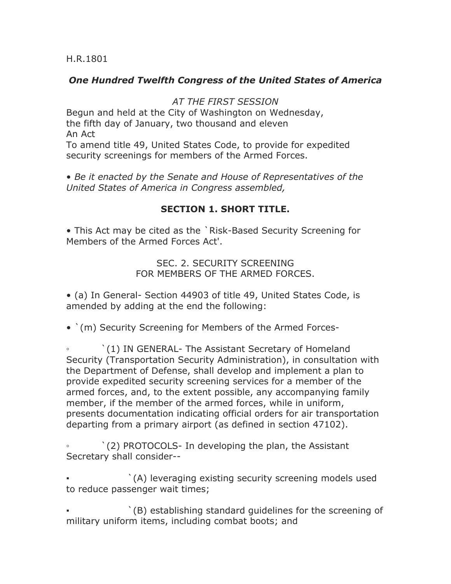H.R.1801

## *One Hundred Twelfth Congress of the United States of America*

## *AT THE FIRST SESSION*

Begun and held at the City of Washington on Wednesday, the fifth day of January, two thousand and eleven An Act

To amend title 49, United States Code, to provide for expedited security screenings for members of the Armed Forces.

• *Be it enacted by the Senate and House of Representatives of the United States of America in Congress assembled,*

## **SECTION 1. SHORT TITLE.**

• This Act may be cited as the `Risk-Based Security Screening for Members of the Armed Forces Act'.

> SEC. 2. SECURITY SCREENING FOR MEMBERS OF THE ARMED FORCES.

• (a) In General- Section 44903 of title 49, United States Code, is amended by adding at the end the following:

• `(m) Security Screening for Members of the Armed Forces-

`(1) IN GENERAL- The Assistant Secretary of Homeland Security (Transportation Security Administration), in consultation with the Department of Defense, shall develop and implement a plan to provide expedited security screening services for a member of the armed forces, and, to the extent possible, any accompanying family member, if the member of the armed forces, while in uniform, presents documentation indicating official orders for air transportation departing from a primary airport (as defined in section 47102).

`(2) PROTOCOLS- In developing the plan, the Assistant Secretary shall consider--

 $'(A)$  leveraging existing security screening models used to reduce passenger wait times;

`(B) establishing standard guidelines for the screening of military uniform items, including combat boots; and